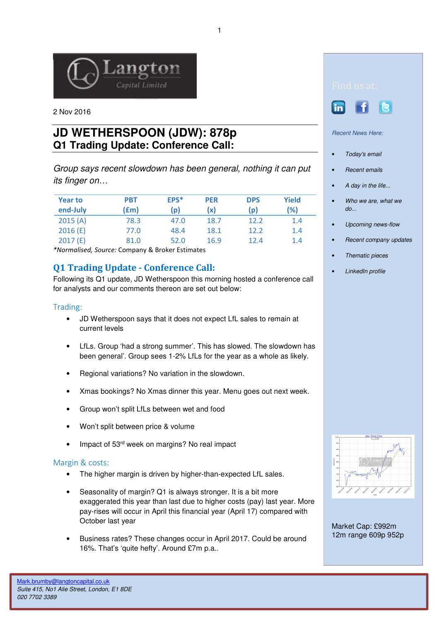

2 Nov 2016

# **JD WETHERSPOON (JDW): 878p Q1 Trading Update: Conference Call:**

Group says recent slowdown has been general, nothing it can put its finger on…

| <b>Year to</b><br>end-July | <b>PBT</b><br>(£m) | EPS*<br>$\mathsf{p}$ | <b>PER</b><br>(x) | <b>DPS</b><br>(p) | Yield<br>(%) |
|----------------------------|--------------------|----------------------|-------------------|-------------------|--------------|
| 2015(A)                    | 78.3               | 47.0                 | 18.7              | 12.2              | 1.4          |
| 2016(E)                    | 77.0               | 48.4                 | 18.1              | 12.2              | 1.4          |
| 2017(E)                    | 81.0               | 52.0                 | 16.9              | 12.4              | 1.4          |

\*Normalised, Source: Company & Broker Estimates

## Q1 Trading Update - Conference Call:

Following its Q1 update, JD Wetherspoon this morning hosted a conference call for analysts and our comments thereon are set out below:

### Trading:

- JD Wetherspoon says that it does not expect LfL sales to remain at current levels
- LfLs. Group 'had a strong summer'. This has slowed. The slowdown has been general'. Group sees 1-2% LfLs for the year as a whole as likely.
- Regional variations? No variation in the slowdown.
- Xmas bookings? No Xmas dinner this year. Menu goes out next week.
- Group won't split LfLs between wet and food
- Won't split between price & volume
- Impact of 53<sup>rd</sup> week on margins? No real impact

### Margin & costs:

- The higher margin is driven by higher-than-expected LfL sales.
- Seasonality of margin? Q1 is always stronger. It is a bit more exaggerated this year than last due to higher costs (pay) last year. More pay-rises will occur in April this financial year (April 17) compared with October last year
- Business rates? These changes occur in April 2017. Could be around 16%. That's 'quite hefty'. Around £7m p.a..





Recent News Here:

- Today's email
- Recent emails
- A day in the life...
- Who we are, what we do...
- Upcoming news-flow
- Recent company updates
- Thematic pieces
- LinkedIn profile



Market Cap: £992m 12m range 609p 952p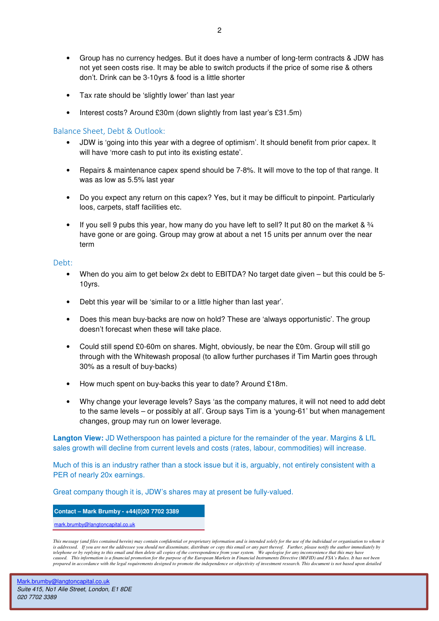- Group has no currency hedges. But it does have a number of long-term contracts & JDW has not yet seen costs rise. It may be able to switch products if the price of some rise & others don't. Drink can be 3-10yrs & food is a little shorter
- Tax rate should be 'slightly lower' than last year
- Interest costs? Around £30m (down slightly from last year's £31.5m)

#### Balance Sheet, Debt & Outlook:

- JDW is 'going into this year with a degree of optimism'. It should benefit from prior capex. It will have 'more cash to put into its existing estate'.
- Repairs & maintenance capex spend should be 7-8%. It will move to the top of that range. It was as low as 5.5% last year
- Do you expect any return on this capex? Yes, but it may be difficult to pinpoint. Particularly loos, carpets, staff facilities etc.
- If you sell 9 pubs this year, how many do you have left to sell? It put 80 on the market & 3/4 have gone or are going. Group may grow at about a net 15 units per annum over the near term

#### Debt:

- When do you aim to get below 2x debt to EBITDA? No target date given but this could be 5- 10yrs.
- Debt this year will be 'similar to or a little higher than last year'.
- Does this mean buy-backs are now on hold? These are 'always opportunistic'. The group doesn't forecast when these will take place.
- Could still spend £0-60m on shares. Might, obviously, be near the £0m. Group will still go through with the Whitewash proposal (to allow further purchases if Tim Martin goes through 30% as a result of buy-backs)
- How much spent on buy-backs this year to date? Around £18m.
- Why change your leverage levels? Says 'as the company matures, it will not need to add debt to the same levels – or possibly at all'. Group says Tim is a 'young-61' but when management changes, group may run on lower leverage.

**Langton View:** JD Wetherspoon has painted a picture for the remainder of the year. Margins & LfL sales growth will decline from current levels and costs (rates, labour, commodities) will increase.

Much of this is an industry rather than a stock issue but it is, arguably, not entirely consistent with a PER of nearly 20x earnings.

Great company though it is, JDW's shares may at present be fully-valued.

**Contact – Mark Brumby - +44(0)20 7702 3389** 

mark.brumby@langtoncapital.co.uk

*This message (and files contained herein) may contain confidential or proprietary information and is intended solely for the use of the individual or organisation to whom it is addressed. If you are not the addressee you should not disseminate, distribute or copy this email or any part thereof. Further, please notify the author immediately by the dephone or by replying to this email and then delete all copies of the correspondence from your system. We apologise for any inconvenience that this may have it expects of the correspondence from your system. We apolo caused. This information is a financial promotion for the purpose of the European Markets in Financial Instruments Directive (MiFID) and FSA's Rules. It has not been prepared in accordance with the legal requirements designed to promote the independence or objectivity of investment research. This document is not based upon detailed*